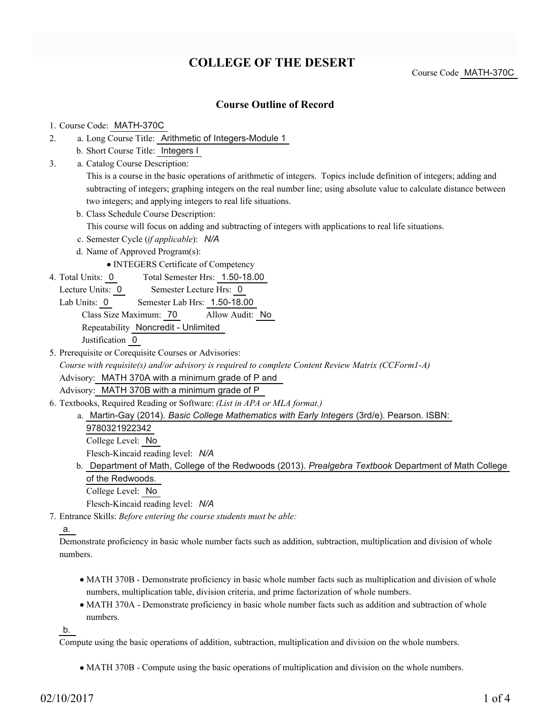# **COLLEGE OF THE DESERT**

Course Code MATH-370C

### **Course Outline of Record**

#### 1. Course Code: MATH-370C

- a. Long Course Title: Arithmetic of Integers-Module 1 2.
	- b. Short Course Title: Integers I
- Catalog Course Description: a. 3.

This is a course in the basic operations of arithmetic of integers. Topics include definition of integers; adding and subtracting of integers; graphing integers on the real number line; using absolute value to calculate distance between two integers; and applying integers to real life situations.

b. Class Schedule Course Description:

This course will focus on adding and subtracting of integers with applications to real life situations.

- c. Semester Cycle (*if applicable*): *N/A*
- d. Name of Approved Program(s):

INTEGERS Certificate of Competency

- Total Semester Hrs: 1.50-18.00 4. Total Units: 0
	- Lecture Units: 0 Semester Lecture Hrs: 0
	- Lab Units: 0 Semester Lab Hrs: 1.50-18.00

Class Size Maximum: 70 Allow Audit: No Repeatability Noncredit - Unlimited

Justification 0

- 5. Prerequisite or Corequisite Courses or Advisories: *Course with requisite(s) and/or advisory is required to complete Content Review Matrix (CCForm1-A)* Advisory: MATH 370A with a minimum grade of P and Advisory: MATH 370B with a minimum grade of P
- Textbooks, Required Reading or Software: *(List in APA or MLA format.)* 6.
	- a. Martin-Gay (2014). *Basic College Mathematics with Early Integers* (3rd/e). Pearson. ISBN: 9780321922342 College Level: No

Flesch-Kincaid reading level: *N/A*

b. Department of Math, College of the Redwoods (2013). *Prealgebra Textbook* Department of Math College of the Redwoods.

College Level: No

Flesch-Kincaid reading level: *N/A*

Entrance Skills: *Before entering the course students must be able:* 7.

#### a.

Demonstrate proficiency in basic whole number facts such as addition, subtraction, multiplication and division of whole numbers.

- MATH 370B Demonstrate proficiency in basic whole number facts such as multiplication and division of whole numbers, multiplication table, division criteria, and prime factorization of whole numbers.
- MATH 370A Demonstrate proficiency in basic whole number facts such as addition and subtraction of whole numbers.

b.

Compute using the basic operations of addition, subtraction, multiplication and division on the whole numbers.

MATH 370B - Compute using the basic operations of multiplication and division on the whole numbers.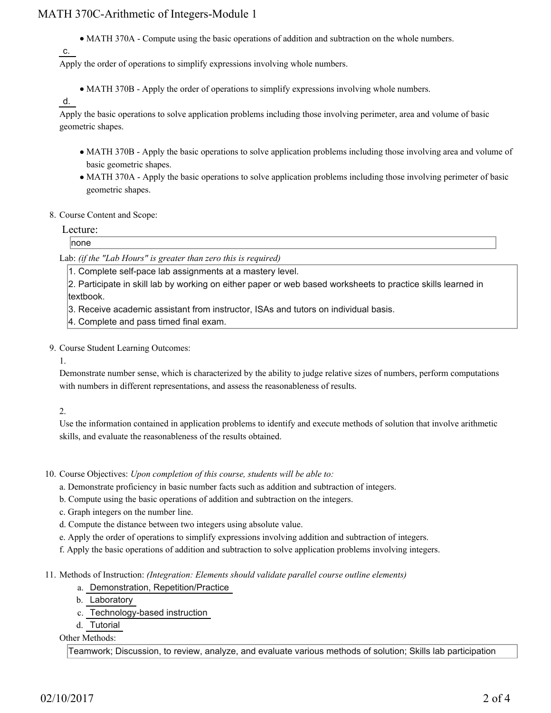## MATH 370C-Arithmetic of Integers-Module 1

MATH 370A - Compute using the basic operations of addition and subtraction on the whole numbers.

```
c.
```
Apply the order of operations to simplify expressions involving whole numbers.

MATH 370B - Apply the order of operations to simplify expressions involving whole numbers.

#### d.

Apply the basic operations to solve application problems including those involving perimeter, area and volume of basic geometric shapes.

- MATH 370B Apply the basic operations to solve application problems including those involving area and volume of basic geometric shapes.
- MATH 370A Apply the basic operations to solve application problems including those involving perimeter of basic geometric shapes.

#### 8. Course Content and Scope:

#### Lecture:

none

Lab: *(if the "Lab Hours" is greater than zero this is required)*

1. Complete self-pace lab assignments at a mastery level.

2. Participate in skill lab by working on either paper or web based worksheets to practice skills learned in textbook.

3. Receive academic assistant from instructor, ISAs and tutors on individual basis.

- 4. Complete and pass timed final exam.
- 9. Course Student Learning Outcomes:

1.

Demonstrate number sense, which is characterized by the ability to judge relative sizes of numbers, perform computations with numbers in different representations, and assess the reasonableness of results.

#### 2.

Use the information contained in application problems to identify and execute methods of solution that involve arithmetic skills, and evaluate the reasonableness of the results obtained.

10. Course Objectives: Upon completion of this course, students will be able to:

- a. Demonstrate proficiency in basic number facts such as addition and subtraction of integers.
- b. Compute using the basic operations of addition and subtraction on the integers.
- c. Graph integers on the number line.
- d. Compute the distance between two integers using absolute value.
- e. Apply the order of operations to simplify expressions involving addition and subtraction of integers.
- f. Apply the basic operations of addition and subtraction to solve application problems involving integers.

Methods of Instruction: *(Integration: Elements should validate parallel course outline elements)* 11.

- a. Demonstration, Repetition/Practice
- b. Laboratory
- c. Technology-based instruction
- d. Tutorial

Other Methods:

Teamwork; Discussion, to review, analyze, and evaluate various methods of solution; Skills lab participation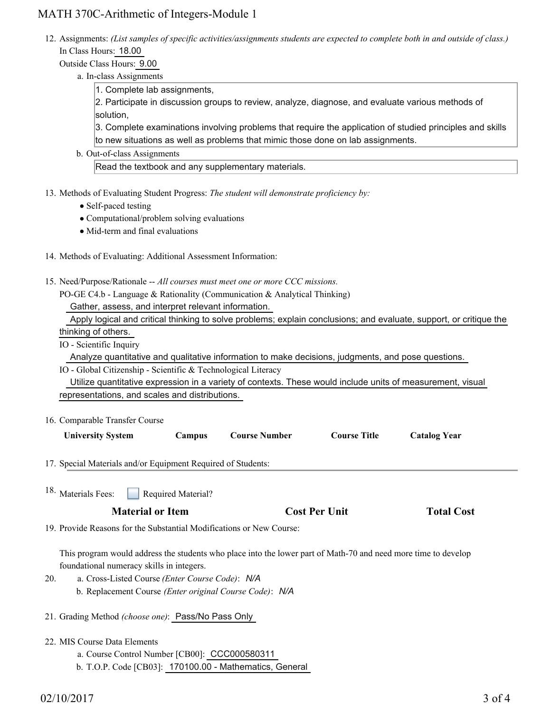## MATH 370C-Arithmetic of Integers-Module 1

12. Assignments: (List samples of specific activities/assignments students are expected to complete both in and outside of class.) In Class Hours: 18.00

Outside Class Hours: 9.00

a. In-class Assignments

1. Complete lab assignments,

2. Participate in discussion groups to review, analyze, diagnose, and evaluate various methods of solution,

3. Complete examinations involving problems that require the application of studied principles and skills to new situations as well as problems that mimic those done on lab assignments.

b. Out-of-class Assignments

Read the textbook and any supplementary materials.

- 13. Methods of Evaluating Student Progress: The student will demonstrate proficiency by:
	- Self-paced testing
	- Computational/problem solving evaluations
	- Mid-term and final evaluations
- 14. Methods of Evaluating: Additional Assessment Information:
- 15. Need/Purpose/Rationale -- All courses must meet one or more CCC missions.

PO-GE C4.b - Language & Rationality (Communication & Analytical Thinking)

Gather, assess, and interpret relevant information.

| Apply logical and critical thinking to solve problems; explain conclusions; and evaluate, support, or critique the |  |  |  |  |
|--------------------------------------------------------------------------------------------------------------------|--|--|--|--|
| thinking of others.                                                                                                |  |  |  |  |

IO - Scientific Inquiry

Analyze quantitative and qualitative information to make decisions, judgments, and pose questions.

IO - Global Citizenship - Scientific & Technological Literacy

 Utilize quantitative expression in a variety of contexts. These would include units of measurement, visual representations, and scales and distributions.

16. Comparable Transfer Course

| <b>University System</b> | Campus | <b>Course Number</b> | <b>Course Title</b> | <b>Catalog Year</b> |
|--------------------------|--------|----------------------|---------------------|---------------------|
|                          |        |                      |                     |                     |

- 17. Special Materials and/or Equipment Required of Students:
- Required Material? <sup>18.</sup> Materials Fees:

| <b>Total Cost</b> |
|-------------------|
|                   |

19. Provide Reasons for the Substantial Modifications or New Course:

This program would address the students who place into the lower part of Math-70 and need more time to develop foundational numeracy skills in integers.

- a. Cross-Listed Course *(Enter Course Code)*: *N/A* b. Replacement Course *(Enter original Course Code)*: *N/A* 20.
- 21. Grading Method *(choose one)*: Pass/No Pass Only
- MIS Course Data Elements 22.
	- a. Course Control Number [CB00]: CCC000580311
	- b. T.O.P. Code [CB03]: 170100.00 Mathematics, General